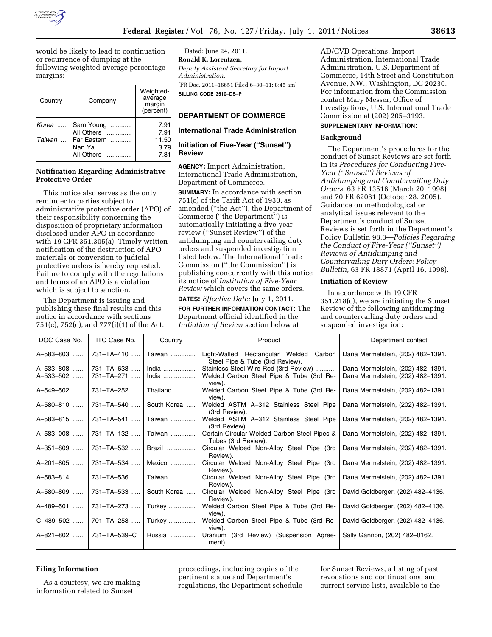

would be likely to lead to continuation or recurrence of dumping at the following weighted-average percentage margins:

| Country | Company     | Weighted-<br>average<br>margin<br>(percent) |
|---------|-------------|---------------------------------------------|
| Korea   | Sam Young   | 7.91                                        |
|         | All Others  | 7.91                                        |
| Taiwan  | Far Eastern | 11.50                                       |
|         | Nan Ya      | 3.79                                        |
|         | All Others  | 7.31                                        |

## **Notification Regarding Administrative Protective Order**

This notice also serves as the only reminder to parties subject to administrative protective order (APO) of their responsibility concerning the disposition of proprietary information disclosed under APO in accordance with 19 CFR 351.305(a). Timely written notification of the destruction of APO materials or conversion to judicial protective orders is hereby requested. Failure to comply with the regulations and terms of an APO is a violation which is subject to sanction.

The Department is issuing and publishing these final results and this notice in accordance with sections 751(c), 752(c), and 777(i)(1) of the Act.

Dated: June 24, 2011. **Ronald K. Lorentzen,**  *Deputy Assistant Secretary for Import Administration.*  [FR Doc. 2011–16651 Filed 6–30–11; 8:45 am] **BILLING CODE 3510–DS–P** 

#### **DEPARTMENT OF COMMERCE**

#### **International Trade Administration**

### **Initiation of Five-Year (''Sunset'') Review**

**AGENCY:** Import Administration, International Trade Administration, Department of Commerce.

**SUMMARY:** In accordance with section 751(c) of the Tariff Act of 1930, as amended (''the Act''), the Department of Commerce (''the Department'') is automatically initiating a five-year review (''Sunset Review'') of the antidumping and countervailing duty orders and suspended investigation listed below. The International Trade Commission (''the Commission'') is publishing concurrently with this notice its notice of *Institution of Five-Year Review* which covers the same orders.

**DATES:** *Effective Date:* July 1, 2011.

**FOR FURTHER INFORMATION CONTACT:** The Department official identified in the *Initiation of Review* section below at

AD/CVD Operations, Import Administration, International Trade Administration, U.S. Department of Commerce, 14th Street and Constitution Avenue, NW., Washington, DC 20230. For information from the Commission contact Mary Messer, Office of Investigations, U.S. International Trade Commission at (202) 205–3193.

# **SUPPLEMENTARY INFORMATION:**

#### **Background**

The Department's procedures for the conduct of Sunset Reviews are set forth in its *Procedures for Conducting Five-Year (''Sunset'') Reviews of Antidumping and Countervailing Duty Orders,* 63 FR 13516 (March 20, 1998) and 70 FR 62061 (October 28, 2005). Guidance on methodological or analytical issues relevant to the Department's conduct of Sunset Reviews is set forth in the Department's Policy Bulletin 98.3—*Policies Regarding the Conduct of Five-Year (''Sunset'') Reviews of Antidumping and Countervailing Duty Orders: Policy Bulletin,* 63 FR 18871 (April 16, 1998).

#### **Initiation of Review**

In accordance with 19 CFR 351.218(c), we are initiating the Sunset Review of the following antidumping and countervailing duty orders and suspended investigation:

| DOC Case No.    | ITC Case No. | Country     | Product                                                                      | Department contact                |
|-----------------|--------------|-------------|------------------------------------------------------------------------------|-----------------------------------|
| A-583-803       | 731-TA-410   | Taiwan      | Light-Walled Rectangular Welded<br>Carbon<br>Steel Pipe & Tube (3rd Review). | Dana Mermelstein, (202) 482-1391. |
| A-533-808       | 731–TA–638   | India       | Stainless Steel Wire Rod (3rd Review)                                        | Dana Mermelstein, (202) 482-1391. |
| A-533-502       | 731–TA–271 … | India       | Welded Carbon Steel Pipe & Tube (3rd Re-<br>view).                           | Dana Mermelstein, (202) 482-1391. |
| A-549-502       | 731-TA-252   | Thailand    | Welded Carbon Steel Pipe & Tube (3rd Re-<br>view).                           | Dana Mermelstein, (202) 482-1391. |
| A-580-810       | 731-TA-540   | South Korea | Welded ASTM A-312 Stainless Steel Pipe<br>(3rd Review).                      | Dana Mermelstein, (202) 482-1391. |
| A-583-815       | 731-TA-541   | Taiwan      | Welded ASTM A-312 Stainless Steel Pipe<br>(3rd Review).                      | Dana Mermelstein, (202) 482-1391. |
| $A - 583 - 008$ | 731-TA-132   | Taiwan      | Certain Circular Welded Carbon Steel Pipes &<br>Tubes (3rd Review).          | Dana Mermelstein, (202) 482-1391. |
| $A - 351 - 809$ | 731-TA-532   | Brazil      | Circular Welded Non-Alloy Steel Pipe (3rd<br>Review).                        | Dana Mermelstein, (202) 482-1391. |
| A-201-805       | 731-TA-534   | Mexico      | Circular Welded Non-Alloy Steel Pipe (3rd<br>Review).                        | Dana Mermelstein, (202) 482-1391. |
| A-583-814       | 731-TA-536   | Taiwan      | Circular Welded Non-Alloy Steel Pipe (3rd<br>Review).                        | Dana Mermelstein, (202) 482-1391. |
| A-580-809       | 731-TA-533   | South Korea | Circular Welded Non-Alloy Steel Pipe (3rd<br>Review).                        | David Goldberger, (202) 482-4136. |
| A-489-501       | 731-TA-273   | Turkey      | Welded Carbon Steel Pipe & Tube (3rd Re-<br>view).                           | David Goldberger, (202) 482-4136. |
| C-489-502       | 701–TA–253   | Turkey      | Welded Carbon Steel Pipe & Tube (3rd Re-<br>view).                           | David Goldberger, (202) 482-4136. |
| A-821-802       | 731–TA–539–C | Russia      | Uranium (3rd Review) (Suspension Agree-<br>ment).                            | Sally Gannon, (202) 482-0162.     |

#### **Filing Information**

As a courtesy, we are making information related to Sunset

proceedings, including copies of the pertinent statue and Department's regulations, the Department schedule

for Sunset Reviews, a listing of past revocations and continuations, and current service lists, available to the